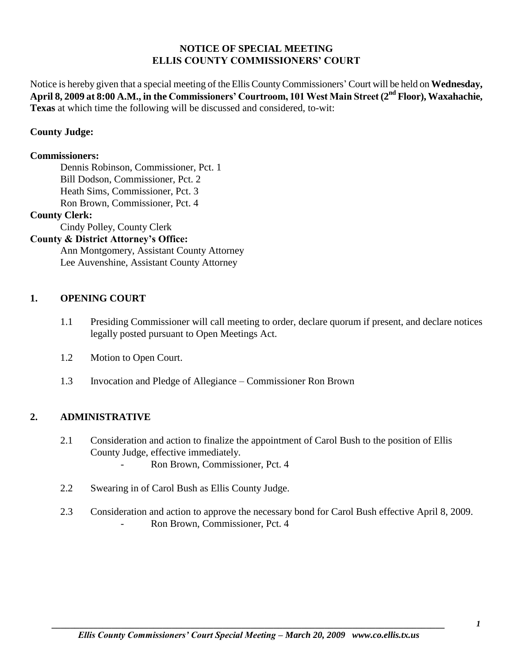### **NOTICE OF SPECIAL MEETING ELLIS COUNTY COMMISSIONERS' COURT**

Notice is hereby given that a special meeting of the Ellis County Commissioners' Court will be held on **Wednesday, April 8, 2009 at 8:00 A.M., in the Commissioners' Courtroom, 101 West Main Street (2nd Floor), Waxahachie, Texas** at which time the following will be discussed and considered, to-wit:

# **County Judge:**

### **Commissioners:**

Dennis Robinson, Commissioner, Pct. 1 Bill Dodson, Commissioner, Pct. 2 Heath Sims, Commissioner, Pct. 3 Ron Brown, Commissioner, Pct. 4

#### **County Clerk:**

Cindy Polley, County Clerk

# **County & District Attorney's Office:**

Ann Montgomery, Assistant County Attorney Lee Auvenshine, Assistant County Attorney

# **1. OPENING COURT**

- 1.1 Presiding Commissioner will call meeting to order, declare quorum if present, and declare notices legally posted pursuant to Open Meetings Act.
- 1.2 Motion to Open Court.
- 1.3 Invocation and Pledge of Allegiance Commissioner Ron Brown

# **2. ADMINISTRATIVE**

- 2.1 Consideration and action to finalize the appointment of Carol Bush to the position of Ellis County Judge, effective immediately. - Ron Brown, Commissioner, Pct. 4
- 2.2 Swearing in of Carol Bush as Ellis County Judge.
- 2.3 Consideration and action to approve the necessary bond for Carol Bush effective April 8, 2009. - Ron Brown, Commissioner, Pct. 4